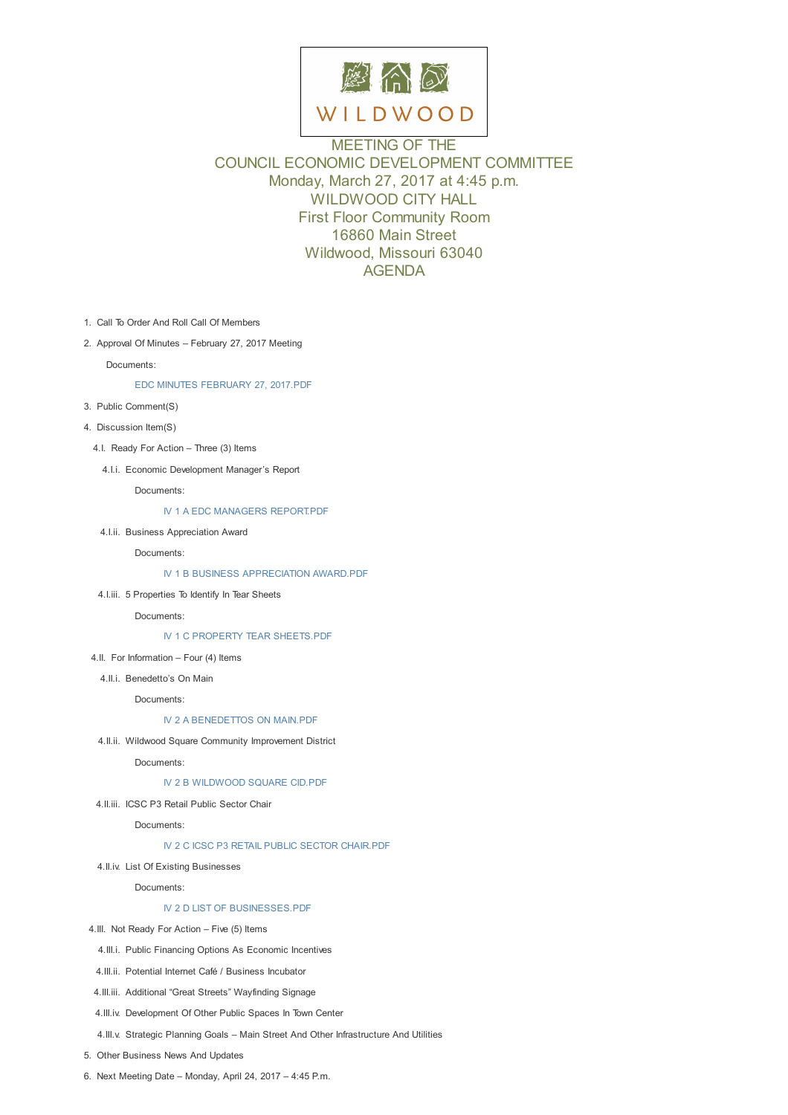

# MEETING OF THE COUNCIL ECONOMIC DEVELOPMENT COMMITTEE Monday, March 27, 2017 at 4:45 p.m. WILDWOOD CITY HALL First Floor Community Room 16860 Main Street Wildwood, Missouri 63040 AGENDA

- 1. Call To Order And Roll Call Of Members
- 2. Approval Of Minutes February 27, 2017 Meeting

Documents:

#### EDC MINUTES FEBRUARY 27, 2017.PDF

- 3. Public Comment(S)
- 4. Discussion Item(S)
	- 4.I. Ready For [Action](D:/AgendaCenter/ViewFile/Item/10272?fileID=14704) Three (3) Items
		- 4.I.i. Economic Development Manager's Report

Documents:

IV 1 A EDC MANAGERS REPORT.PDF

4.I.ii. Business Appreciation Award

Documents:

IV 1 B BUSINESS [APPRECIATION](D:/AgendaCenter/ViewFile/Item/10276?fileID=14705) AWARD.PDF

4.I.iii. 5 Properties To Identify In Tear Sheets

Documents:

IV 1 C PROPERTY TEAR [SHEETS.PDF](D:/AgendaCenter/ViewFile/Item/10277?fileID=14706)

4.II. For Information – Four (4) Items

4.II.i. Benedetto's On Main

Docum[ents:](D:/AgendaCenter/ViewFile/Item/10278?fileID=14707)

#### IV 2 A BENEDETTOS ON MAIN.PDF

4.II.ii. Wildwood Square Community Improvement District

Documents:

## IV 2 B [WILDWOOD](D:/AgendaCenter/ViewFile/Item/10280?fileID=14708) SQUARE CID.PDF

4.II.iii. ICSC P3 Retail Public Sector Chair

Documents:

## IV 2 C ICSC P3 RETAIL [PUBLIC](D:/AgendaCenter/ViewFile/Item/10281?fileID=14709) SECTOR CHAIR.PDF

4.II.iv. List Of Existing Businesses

Documents:

### IV 2 D LIST OF [BUSINESSES.PDF](D:/AgendaCenter/ViewFile/Item/10282?fileID=14710)

- 4.III. Not Ready For Action Five (5) Items
	- 4.III.i. Public Financing Options As Economic Incentives
- 4.III.ii. Potential Internet Café / [Business](D:/AgendaCenter/ViewFile/Item/10283?fileID=14711) Incubator
- 4.III.iii. Additional "Great Streets" Wayfinding Signage
- 4.III.iv. Development Of Other Public Spaces In Town Center
- 4.III.v. Strategic Planning Goals Main Street And Other Infrastructure And Utilities

5. Other Business News And Updates

6. Next Meeting Date – Monday, April 24, 2017 – 4:45 P.m.